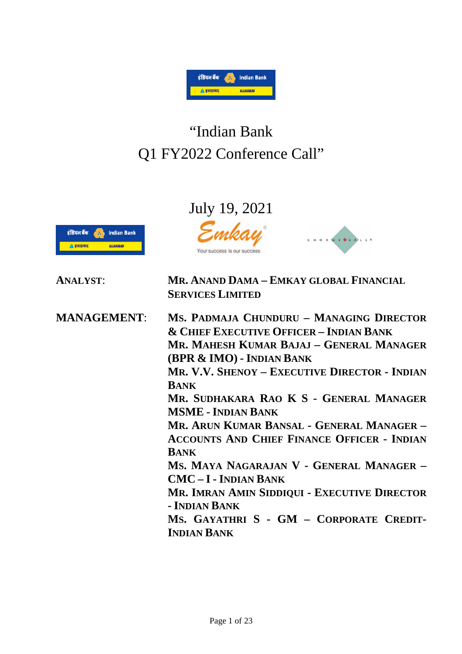

# "Indian Bank Q1 FY2022 Conference Call"

## July 19, 2021



**ANALYST**: **MR. ANAND DAMA – EMKAY GLOBAL FINANCIAL SERVICES LIMITED MANAGEMENT**: **MS. PADMAJA CHUNDURU – MANAGING DIRECTOR & CHIEF EXECUTIVE OFFICER – INDIAN BANK MR. MAHESH KUMAR BAJAJ – GENERAL MANAGER (BPR & IMO) - INDIAN BANK MR. V.V. SHENOY – EXECUTIVE DIRECTOR - INDIAN BANK MR. SUDHAKARA RAO K S - GENERAL MANAGER MSME - INDIAN BANK MR. ARUN KUMAR BANSAL - GENERAL MANAGER – ACCOUNTS AND CHIEF FINANCE OFFICER - INDIAN BANK MS. MAYA NAGARAJAN V - GENERAL MANAGER – CMC – I - INDIAN BANK MR. IMRAN AMIN SIDDIQUI - EXECUTIVE DIRECTOR - INDIAN BANK MS. GAYATHRI S - GM – CORPORATE CREDIT-INDIAN BANK**

CHORUS C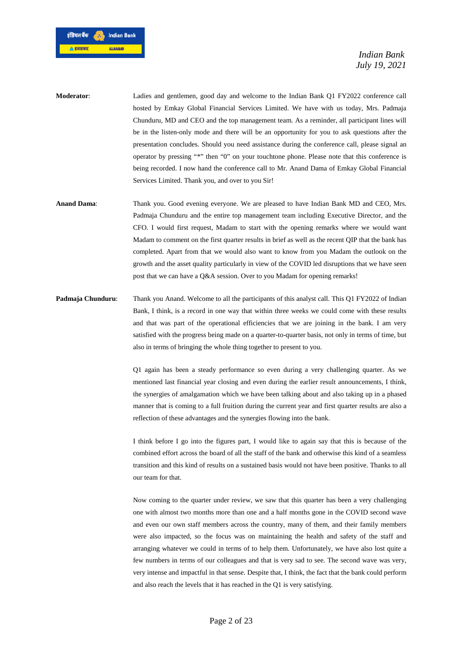

**Moderator**: Ladies and gentlemen, good day and welcome to the Indian Bank Q1 FY2022 conference call hosted by Emkay Global Financial Services Limited. We have with us today, Mrs. Padmaja Chunduru, MD and CEO and the top management team. As a reminder, all participant lines will be in the listen-only mode and there will be an opportunity for you to ask questions after the presentation concludes. Should you need assistance during the conference call, please signal an operator by pressing "\*" then "0" on your touchtone phone. Please note that this conference is being recorded. I now hand the conference call to Mr. Anand Dama of Emkay Global Financial Services Limited. Thank you, and over to you Sir!

- **Anand Dama**: Thank you. Good evening everyone. We are pleased to have Indian Bank MD and CEO, Mrs. Padmaja Chunduru and the entire top management team including Executive Director, and the CFO. I would first request, Madam to start with the opening remarks where we would want Madam to comment on the first quarter results in brief as well as the recent QIP that the bank has completed. Apart from that we would also want to know from you Madam the outlook on the growth and the asset quality particularly in view of the COVID led disruptions that we have seen post that we can have a Q&A session. Over to you Madam for opening remarks!
- **Padmaja Chunduru:** Thank you Anand. Welcome to all the participants of this analyst call. This Q1 FY2022 of Indian Bank, I think, is a record in one way that within three weeks we could come with these results and that was part of the operational efficiencies that we are joining in the bank. I am very satisfied with the progress being made on a quarter-to-quarter basis, not only in terms of time, but also in terms of bringing the whole thing together to present to you.

Q1 again has been a steady performance so even during a very challenging quarter. As we mentioned last financial year closing and even during the earlier result announcements, I think, the synergies of amalgamation which we have been talking about and also taking up in a phased manner that is coming to a full fruition during the current year and first quarter results are also a reflection of these advantages and the synergies flowing into the bank.

I think before I go into the figures part, I would like to again say that this is because of the combined effort across the board of all the staff of the bank and otherwise this kind of a seamless transition and this kind of results on a sustained basis would not have been positive. Thanks to all our team for that.

Now coming to the quarter under review, we saw that this quarter has been a very challenging one with almost two months more than one and a half months gone in the COVID second wave and even our own staff members across the country, many of them, and their family members were also impacted, so the focus was on maintaining the health and safety of the staff and arranging whatever we could in terms of to help them. Unfortunately, we have also lost quite a few numbers in terms of our colleagues and that is very sad to see. The second wave was very, very intense and impactful in that sense. Despite that, I think, the fact that the bank could perform and also reach the levels that it has reached in the Q1 is very satisfying.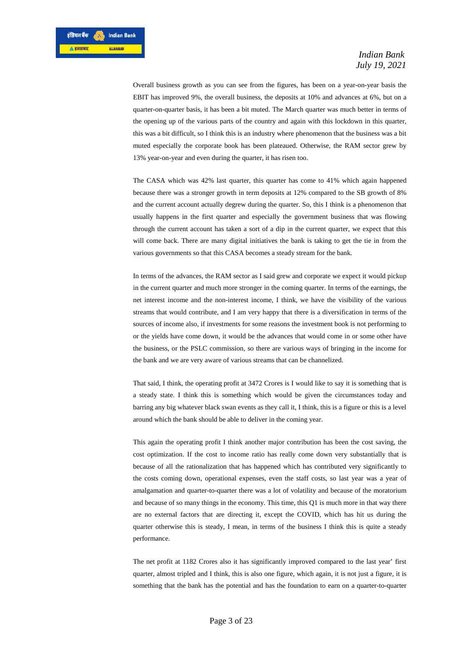Overall business growth as you can see from the figures, has been on a year-on-year basis the EBIT has improved 9%, the overall business, the deposits at 10% and advances at 6%, but on a quarter-on-quarter basis, it has been a bit muted. The March quarter was much better in terms of the opening up of the various parts of the country and again with this lockdown in this quarter, this was a bit difficult, so I think this is an industry where phenomenon that the business was a bit muted especially the corporate book has been plateaued. Otherwise, the RAM sector grew by 13% year-on-year and even during the quarter, it has risen too.

The CASA which was 42% last quarter, this quarter has come to 41% which again happened because there was a stronger growth in term deposits at 12% compared to the SB growth of 8% and the current account actually degrew during the quarter. So, this I think is a phenomenon that usually happens in the first quarter and especially the government business that was flowing through the current account has taken a sort of a dip in the current quarter, we expect that this will come back. There are many digital initiatives the bank is taking to get the tie in from the various governments so that this CASA becomes a steady stream for the bank.

In terms of the advances, the RAM sector as I said grew and corporate we expect it would pickup in the current quarter and much more stronger in the coming quarter. In terms of the earnings, the net interest income and the non-interest income, I think, we have the visibility of the various streams that would contribute, and I am very happy that there is a diversification in terms of the sources of income also, if investments for some reasons the investment book is not performing to or the yields have come down, it would be the advances that would come in or some other have the business, or the PSLC commission, so there are various ways of bringing in the income for the bank and we are very aware of various streams that can be channelized.

That said, I think, the operating profit at 3472 Crores is I would like to say it is something that is a steady state. I think this is something which would be given the circumstances today and barring any big whatever black swan events as they call it, I think, this is a figure or this is a level around which the bank should be able to deliver in the coming year.

This again the operating profit I think another major contribution has been the cost saving, the cost optimization. If the cost to income ratio has really come down very substantially that is because of all the rationalization that has happened which has contributed very significantly to the costs coming down, operational expenses, even the staff costs, so last year was a year of amalgamation and quarter-to-quarter there was a lot of volatility and because of the moratorium and because of so many things in the economy. This time, this Q1 is much more in that way there are no external factors that are directing it, except the COVID, which has hit us during the quarter otherwise this is steady, I mean, in terms of the business I think this is quite a steady performance.

The net profit at 1182 Crores also it has significantly improved compared to the last year' first quarter, almost tripled and I think, this is also one figure, which again, it is not just a figure, it is something that the bank has the potential and has the foundation to earn on a quarter-to-quarter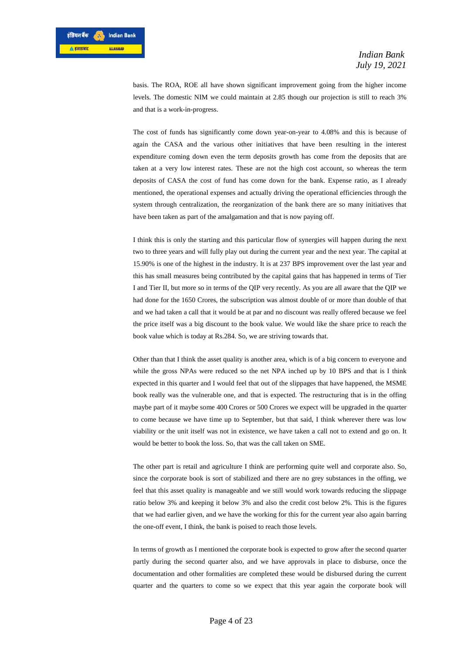basis. The ROA, ROE all have shown significant improvement going from the higher income levels. The domestic NIM we could maintain at 2.85 though our projection is still to reach 3% and that is a work-in-progress.

The cost of funds has significantly come down year-on-year to 4.08% and this is because of again the CASA and the various other initiatives that have been resulting in the interest expenditure coming down even the term deposits growth has come from the deposits that are taken at a very low interest rates. These are not the high cost account, so whereas the term deposits of CASA the cost of fund has come down for the bank. Expense ratio, as I already mentioned, the operational expenses and actually driving the operational efficiencies through the system through centralization, the reorganization of the bank there are so many initiatives that have been taken as part of the amalgamation and that is now paying off.

I think this is only the starting and this particular flow of synergies will happen during the next two to three years and will fully play out during the current year and the next year. The capital at 15.90% is one of the highest in the industry. It is at 237 BPS improvement over the last year and this has small measures being contributed by the capital gains that has happened in terms of Tier I and Tier II, but more so in terms of the QIP very recently. As you are all aware that the QIP we had done for the 1650 Crores, the subscription was almost double of or more than double of that and we had taken a call that it would be at par and no discount was really offered because we feel the price itself was a big discount to the book value. We would like the share price to reach the book value which is today at Rs.284. So, we are striving towards that.

Other than that I think the asset quality is another area, which is of a big concern to everyone and while the gross NPAs were reduced so the net NPA inched up by 10 BPS and that is I think expected in this quarter and I would feel that out of the slippages that have happened, the MSME book really was the vulnerable one, and that is expected. The restructuring that is in the offing maybe part of it maybe some 400 Crores or 500 Crores we expect will be upgraded in the quarter to come because we have time up to September, but that said, I think wherever there was low viability or the unit itself was not in existence, we have taken a call not to extend and go on. It would be better to book the loss. So, that was the call taken on SME.

The other part is retail and agriculture I think are performing quite well and corporate also. So, since the corporate book is sort of stabilized and there are no grey substances in the offing, we feel that this asset quality is manageable and we still would work towards reducing the slippage ratio below 3% and keeping it below 3% and also the credit cost below 2%. This is the figures that we had earlier given, and we have the working for this for the current year also again barring the one-off event, I think, the bank is poised to reach those levels.

In terms of growth as I mentioned the corporate book is expected to grow after the second quarter partly during the second quarter also, and we have approvals in place to disburse, once the documentation and other formalities are completed these would be disbursed during the current quarter and the quarters to come so we expect that this year again the corporate book will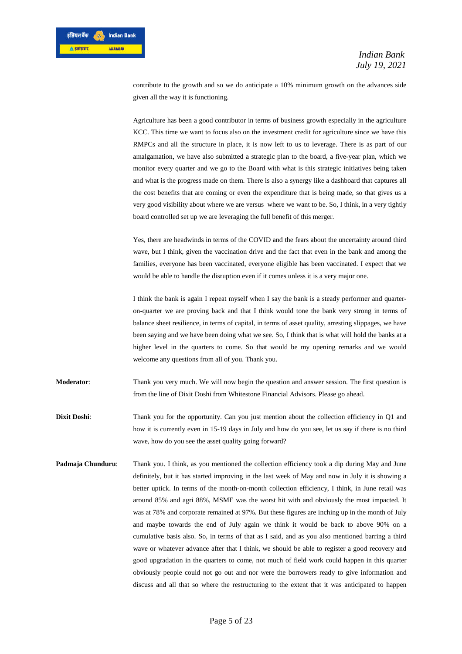contribute to the growth and so we do anticipate a 10% minimum growth on the advances side given all the way it is functioning.

Agriculture has been a good contributor in terms of business growth especially in the agriculture KCC. This time we want to focus also on the investment credit for agriculture since we have this RMPCs and all the structure in place, it is now left to us to leverage. There is as part of our amalgamation, we have also submitted a strategic plan to the board, a five-year plan, which we monitor every quarter and we go to the Board with what is this strategic initiatives being taken and what is the progress made on them. There is also a synergy like a dashboard that captures all the cost benefits that are coming or even the expenditure that is being made, so that gives us a very good visibility about where we are versus where we want to be. So, I think, in a very tightly board controlled set up we are leveraging the full benefit of this merger.

Yes, there are headwinds in terms of the COVID and the fears about the uncertainty around third wave, but I think, given the vaccination drive and the fact that even in the bank and among the families, everyone has been vaccinated, everyone eligible has been vaccinated. I expect that we would be able to handle the disruption even if it comes unless it is a very major one.

I think the bank is again I repeat myself when I say the bank is a steady performer and quarteron-quarter we are proving back and that I think would tone the bank very strong in terms of balance sheet resilience, in terms of capital, in terms of asset quality, arresting slippages, we have been saying and we have been doing what we see. So, I think that is what will hold the banks at a higher level in the quarters to come. So that would be my opening remarks and we would welcome any questions from all of you. Thank you.

**Moderator**: Thank you very much. We will now begin the question and answer session. The first question is from the line of Dixit Doshi from Whitestone Financial Advisors. Please go ahead.

**Dixit Doshi:** Thank you for the opportunity. Can you just mention about the collection efficiency in Q1 and how it is currently even in 15-19 days in July and how do you see, let us say if there is no third wave, how do you see the asset quality going forward?

**Padmaja Chunduru:** Thank you. I think, as you mentioned the collection efficiency took a dip during May and June definitely, but it has started improving in the last week of May and now in July it is showing a better uptick. In terms of the month-on-month collection efficiency, I think, in June retail was around 85% and agri 88%, MSME was the worst hit with and obviously the most impacted. It was at 78% and corporate remained at 97%. But these figures are inching up in the month of July and maybe towards the end of July again we think it would be back to above 90% on a cumulative basis also. So, in terms of that as I said, and as you also mentioned barring a third wave or whatever advance after that I think, we should be able to register a good recovery and good upgradation in the quarters to come, not much of field work could happen in this quarter obviously people could not go out and nor were the borrowers ready to give information and discuss and all that so where the restructuring to the extent that it was anticipated to happen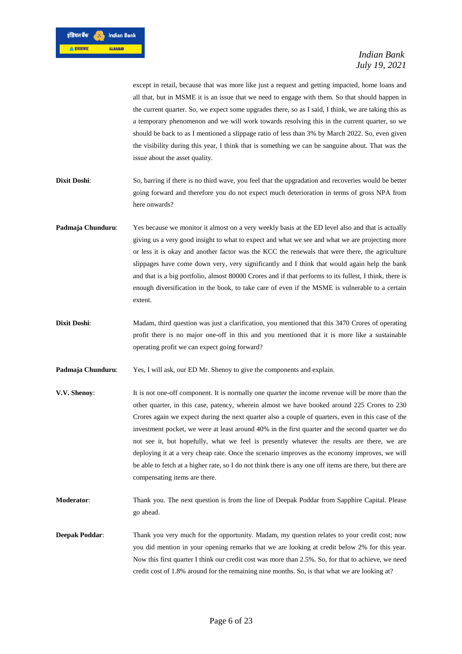

except in retail, because that was more like just a request and getting impacted, home loans and all that, but in MSME it is an issue that we need to engage with them. So that should happen in the current quarter. So, we expect some upgrades there, so as I said, I think, we are taking this as a temporary phenomenon and we will work towards resolving this in the current quarter, so we should be back to as I mentioned a slippage ratio of less than 3% by March 2022. So, even given the visibility during this year, I think that is something we can be sanguine about. That was the issue about the asset quality.

- **Dixit Doshi:** So, barring if there is no third wave, you feel that the upgradation and recoveries would be better going forward and therefore you do not expect much deterioration in terms of gross NPA from here onwards?
- **Padmaja Chunduru:** Yes because we monitor it almost on a very weekly basis at the ED level also and that is actually giving us a very good insight to what to expect and what we see and what we are projecting more or less it is okay and another factor was the KCC the renewals that were there, the agriculture slippages have come down very, very significantly and I think that would again help the bank and that is a big portfolio, almost 80000 Crores and if that performs to its fullest, I think, there is enough diversification in the book, to take care of even if the MSME is vulnerable to a certain extent.
- **Dixit Doshi:** Madam, third question was just a clarification, you mentioned that this 3470 Crores of operating profit there is no major one-off in this and you mentioned that it is more like a sustainable operating profit we can expect going forward?
- **Padmaja Chunduru:** Yes, I will ask, our ED Mr. Shenoy to give the components and explain.
- **V.V. Shenoy:** It is not one-off component. It is normally one quarter the income revenue will be more than the other quarter, in this case, patency, wherein almost we have booked around 225 Crores to 230 Crores again we expect during the next quarter also a couple of quarters, even in this case of the investment pocket, we were at least around 40% in the first quarter and the second quarter we do not see it, but hopefully, what we feel is presently whatever the results are there, we are deploying it at a very cheap rate. Once the scenario improves as the economy improves, we will be able to fetch at a higher rate, so I do not think there is any one off items are there, but there are compensating items are there.
- **Moderator**: Thank you. The next question is from the line of Deepak Poddar from Sapphire Capital. Please go ahead.
- **Deepak Poddar:** Thank you very much for the opportunity. Madam, my question relates to your credit cost; now you did mention in your opening remarks that we are looking at credit below 2% for this year. Now this first quarter I think our credit cost was more than 2.5%. So, for that to achieve, we need credit cost of 1.8% around for the remaining nine months. So, is that what we are looking at?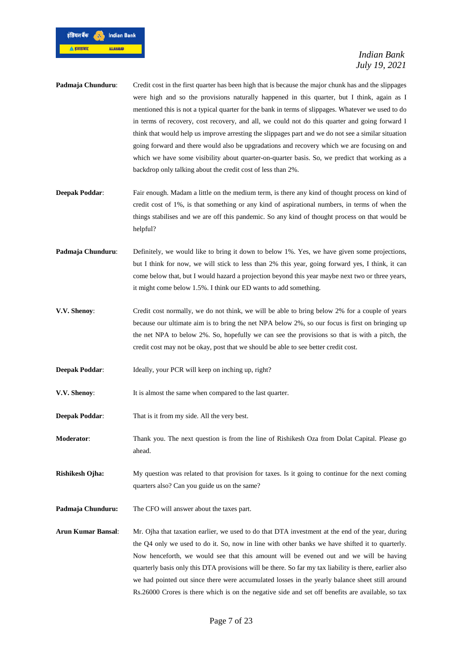

- **Padmaja Chunduru**: Credit cost in the first quarter has been high that is because the major chunk has and the slippages were high and so the provisions naturally happened in this quarter, but I think, again as I mentioned this is not a typical quarter for the bank in terms of slippages. Whatever we used to do in terms of recovery, cost recovery, and all, we could not do this quarter and going forward I think that would help us improve arresting the slippages part and we do not see a similar situation going forward and there would also be upgradations and recovery which we are focusing on and which we have some visibility about quarter-on-quarter basis. So, we predict that working as a backdrop only talking about the credit cost of less than 2%.
- **Deepak Poddar:** Fair enough. Madam a little on the medium term, is there any kind of thought process on kind of credit cost of 1%, is that something or any kind of aspirational numbers, in terms of when the things stabilises and we are off this pandemic. So any kind of thought process on that would be helpful?
- **Padmaja Chunduru:** Definitely, we would like to bring it down to below 1%. Yes, we have given some projections, but I think for now, we will stick to less than 2% this year, going forward yes, I think, it can come below that, but I would hazard a projection beyond this year maybe next two or three years, it might come below 1.5%. I think our ED wants to add something.
- **V.V. Shenoy:** Credit cost normally, we do not think, we will be able to bring below 2% for a couple of years because our ultimate aim is to bring the net NPA below 2%, so our focus is first on bringing up the net NPA to below 2%. So, hopefully we can see the provisions so that is with a pitch, the credit cost may not be okay, post that we should be able to see better credit cost.
- **Deepak Poddar:** Ideally, your PCR will keep on inching up, right?
- **V.V. Shenoy**: It is almost the same when compared to the last quarter.
- **Deepak Poddar:** That is it from my side. All the very best.
- **Moderator:** Thank you. The next question is from the line of Rishikesh Oza from Dolat Capital. Please go ahead.
- **Rishikesh Ojha:** My question was related to that provision for taxes. Is it going to continue for the next coming quarters also? Can you guide us on the same?
- **Padmaja Chunduru:** The CFO will answer about the taxes part.
- **Arun Kumar Bansal**: Mr. Ojha that taxation earlier, we used to do that DTA investment at the end of the year, during the Q4 only we used to do it. So, now in line with other banks we have shifted it to quarterly. Now henceforth, we would see that this amount will be evened out and we will be having quarterly basis only this DTA provisions will be there. So far my tax liability is there, earlier also we had pointed out since there were accumulated losses in the yearly balance sheet still around Rs.26000 Crores is there which is on the negative side and set off benefits are available, so tax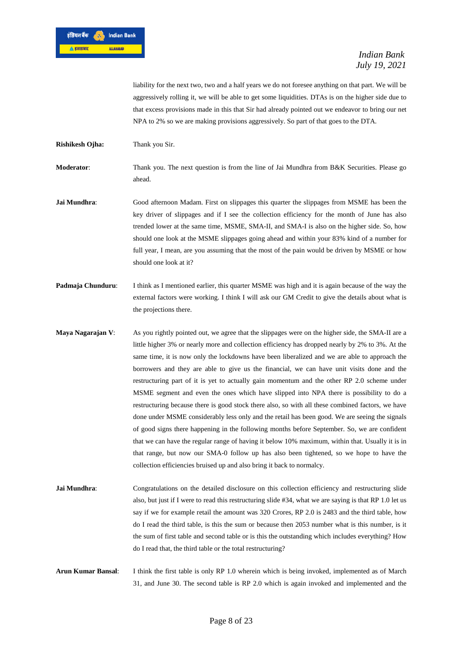

liability for the next two, two and a half years we do not foresee anything on that part. We will be aggressively rolling it, we will be able to get some liquidities. DTAs is on the higher side due to that excess provisions made in this that Sir had already pointed out we endeavor to bring our net NPA to 2% so we are making provisions aggressively. So part of that goes to the DTA.

**Rishikesh Ojha:** Thank you Sir.

**Moderator**: Thank you. The next question is from the line of Jai Mundhra from B&K Securities. Please go ahead.

- **Jai Mundhra:** Good afternoon Madam. First on slippages this quarter the slippages from MSME has been the key driver of slippages and if I see the collection efficiency for the month of June has also trended lower at the same time, MSME, SMA-II, and SMA-I is also on the higher side. So, how should one look at the MSME slippages going ahead and within your 83% kind of a number for full year, I mean, are you assuming that the most of the pain would be driven by MSME or how should one look at it?
- **Padmaja Chunduru:** I think as I mentioned earlier, this quarter MSME was high and it is again because of the way the external factors were working. I think I will ask our GM Credit to give the details about what is the projections there.
- **Maya Nagarajan V**: As you rightly pointed out, we agree that the slippages were on the higher side, the SMA-II are a little higher 3% or nearly more and collection efficiency has dropped nearly by 2% to 3%. At the same time, it is now only the lockdowns have been liberalized and we are able to approach the borrowers and they are able to give us the financial, we can have unit visits done and the restructuring part of it is yet to actually gain momentum and the other RP 2.0 scheme under MSME segment and even the ones which have slipped into NPA there is possibility to do a restructuring because there is good stock there also, so with all these combined factors, we have done under MSME considerably less only and the retail has been good. We are seeing the signals of good signs there happening in the following months before September. So, we are confident that we can have the regular range of having it below 10% maximum, within that. Usually it is in that range, but now our SMA-0 follow up has also been tightened, so we hope to have the collection efficiencies bruised up and also bring it back to normalcy.
- **Jai Mundhra:** Congratulations on the detailed disclosure on this collection efficiency and restructuring slide also, but just if I were to read this restructuring slide #34, what we are saying is that RP 1.0 let us say if we for example retail the amount was 320 Crores, RP 2.0 is 2483 and the third table, how do I read the third table, is this the sum or because then 2053 number what is this number, is it the sum of first table and second table or is this the outstanding which includes everything? How do I read that, the third table or the total restructuring?
- **Arun Kumar Bansal**: I think the first table is only RP 1.0 wherein which is being invoked, implemented as of March 31, and June 30. The second table is RP 2.0 which is again invoked and implemented and the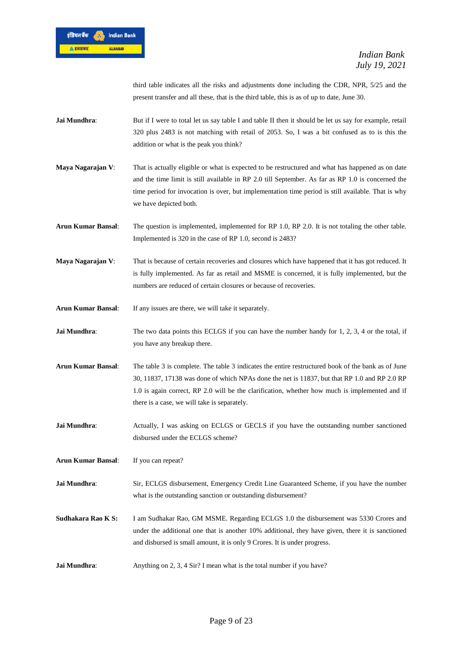

third table indicates all the risks and adjustments done including the CDR, NPR, 5/25 and the present transfer and all these, that is the third table, this is as of up to date, June 30.

- **Jai Mundhra:** But if I were to total let us say table I and table II then it should be let us say for example, retail 320 plus 2483 is not matching with retail of 2053. So, I was a bit confused as to is this the addition or what is the peak you think?
- **Maya Nagarajan V:** That is actually eligible or what is expected to be restructured and what has happened as on date and the time limit is still available in RP 2.0 till September. As far as RP 1.0 is concerned the time period for invocation is over, but implementation time period is still available. That is why we have depicted both.
- **Arun Kumar Bansal**: The question is implemented, implemented for RP 1.0, RP 2.0. It is not totaling the other table. Implemented is 320 in the case of RP 1.0, second is 2483?
- **Maya Nagarajan V**: That is because of certain recoveries and closures which have happened that it has got reduced. It is fully implemented. As far as retail and MSME is concerned, it is fully implemented, but the numbers are reduced of certain closures or because of recoveries.
- **Arun Kumar Bansal**: If any issues are there, we will take it separately.
- **Jai Mundhra:** The two data points this ECLGS if you can have the number handy for 1, 2, 3, 4 or the total, if you have any breakup there.
- **Arun Kumar Bansal**: The table 3 is complete. The table 3 indicates the entire restructured book of the bank as of June 30, 11837, 17138 was done of which NPAs done the net is 11837, but that RP 1.0 and RP 2.0 RP 1.0 is again correct, RP 2.0 will be the clarification, whether how much is implemented and if there is a case, we will take is separately.
- **Jai Mundhra:** Actually, I was asking on ECLGS or GECLS if you have the outstanding number sanctioned disbursed under the ECLGS scheme?
- **Arun Kumar Bansal**: If you can repeat?
- **Jai Mundhra**: Sir, ECLGS disbursement, Emergency Credit Line Guaranteed Scheme, if you have the number what is the outstanding sanction or outstanding disbursement?
- **Sudhakara Rao K S:** I am Sudhakar Rao, GM MSME. Regarding ECLGS 1.0 the disbursement was 5330 Crores and under the additional one that is another 10% additional, they have given, there it is sanctioned and disbursed is small amount, it is only 9 Crores. It is under progress.
- **Jai Mundhra**: Anything on 2, 3, 4 Sir? I mean what is the total number if you have?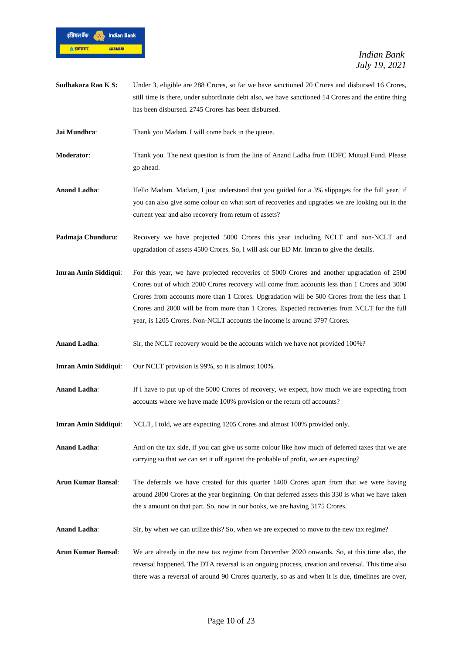

- **Sudhakara Rao K S:** Under 3, eligible are 288 Crores, so far we have sanctioned 20 Crores and disbursed 16 Crores, still time is there, under subordinate debt also, we have sanctioned 14 Crores and the entire thing has been disbursed. 2745 Crores has been disbursed.
- **Jai Mundhra:** Thank you Madam. I will come back in the queue.
- **Moderator**: Thank you. The next question is from the line of Anand Ladha from HDFC Mutual Fund. Please go ahead.
- **Anand Ladha**: Hello Madam. Madam, I just understand that you guided for a 3% slippages for the full year, if you can also give some colour on what sort of recoveries and upgrades we are looking out in the current year and also recovery from return of assets?
- **Padmaja Chunduru**: Recovery we have projected 5000 Crores this year including NCLT and non-NCLT and upgradation of assets 4500 Crores. So, I will ask our ED Mr. Imran to give the details.
- **Imran Amin Siddiqui**: For this year, we have projected recoveries of 5000 Crores and another upgradation of 2500 Crores out of which 2000 Crores recovery will come from accounts less than 1 Crores and 3000 Crores from accounts more than 1 Crores. Upgradation will be 500 Crores from the less than 1 Crores and 2000 will be from more than 1 Crores. Expected recoveries from NCLT for the full year, is 1205 Crores. Non-NCLT accounts the income is around 3797 Crores.
- **Anand Ladha**: Sir, the NCLT recovery would be the accounts which we have not provided 100%?
- **Imran Amin Siddiqui:** Our NCLT provision is 99%, so it is almost 100%.
- **Anand Ladha**: If I have to put up of the 5000 Crores of recovery, we expect, how much we are expecting from accounts where we have made 100% provision or the return off accounts?
- **Imran Amin Siddiqui**: NCLT, I told, we are expecting 1205 Crores and almost 100% provided only.
- **Anand Ladha:** And on the tax side, if you can give us some colour like how much of deferred taxes that we are carrying so that we can set it off against the probable of profit, we are expecting?
- **Arun Kumar Bansal**: The deferrals we have created for this quarter 1400 Crores apart from that we were having around 2800 Crores at the year beginning. On that deferred assets this 330 is what we have taken the x amount on that part. So, now in our books, we are having 3175 Crores.
- **Anand Ladha:** Sir, by when we can utilize this? So, when we are expected to move to the new tax regime?
- **Arun Kumar Bansal**: We are already in the new tax regime from December 2020 onwards. So, at this time also, the reversal happened. The DTA reversal is an ongoing process, creation and reversal. This time also there was a reversal of around 90 Crores quarterly, so as and when it is due, timelines are over,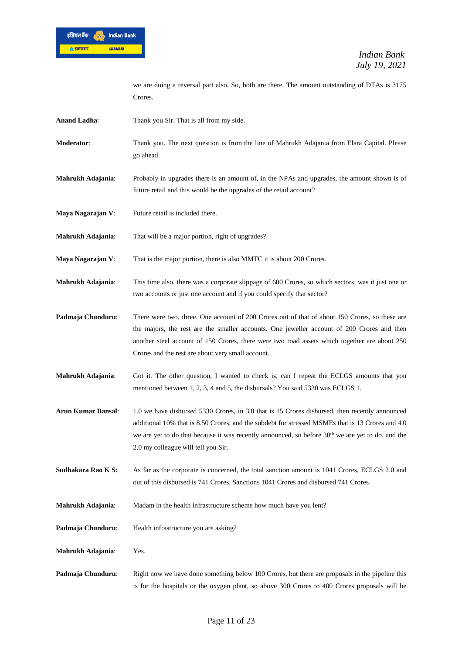

we are doing a reversal part also. So, both are there. The amount outstanding of DTAs is 3175 Crores.

- **Anand Ladha**: Thank you Sir. That is all from my side.
- **Moderator**: Thank you. The next question is from the line of Mahrukh Adajania from Elara Capital. Please go ahead.
- **Mahrukh Adajania**: Probably in upgrades there is an amount of, in the NPAs and upgrades, the amount shown is of future retail and this would be the upgrades of the retail account?
- **Maya Nagarajan V**: Future retail is included there.
- **Mahrukh Adajania:** That will be a major portion, right of upgrades?
- **Maya Nagarajan V**: That is the major portion, there is also MMTC it is about 200 Crores.
- **Mahrukh Adajania**: This time also, there was a corporate slippage of 600 Crores, so which sectors, was it just one or two accounts or just one account and if you could specify that sector?
- **Padmaja Chunduru:** There were two, three. One account of 200 Crores out of that of about 150 Crores, so these are the majors, the rest are the smaller accounts. One jeweller account of 200 Crores and then another steel account of 150 Crores, there were two road assets which together are about 250 Crores and the rest are about very small account.
- **Mahrukh Adajania**: Got it. The other question, I wanted to check is, can I repeat the ECLGS amounts that you mentioned between 1, 2, 3, 4 and 5, the disbursals? You said 5330 was ECLGS 1.
- **Arun Kumar Bansal**: 1.0 we have disbursed 5330 Crores, in 3.0 that is 15 Crores disbursed, then recently announced additional 10% that is 8.50 Crores, and the subdebt for stressed MSMEs that is 13 Crores and 4.0 we are yet to do that because it was recently announced, so before 30<sup>th</sup> we are yet to do, and the 2.0 my colleague will tell you Sir.
- **Sudhakara Rao K S:** As far as the corporate is concerned, the total sanction amount is 1041 Crores, ECLGS 2.0 and out of this disbursed is 741 Crores. Sanctions 1041 Crores and disbursed 741 Crores.
- **Mahrukh Adajania**: Madam in the health infrastructure scheme how much have you lent?
- **Padmaja Chunduru:** Health infrastructure you are asking?
- **Mahrukh Adajania**: Yes.
- **Padmaja Chunduru:** Right now we have done something below 100 Crores, but there are proposals in the pipeline this is for the hospitals or the oxygen plant, so above 300 Crores to 400 Crores proposals will be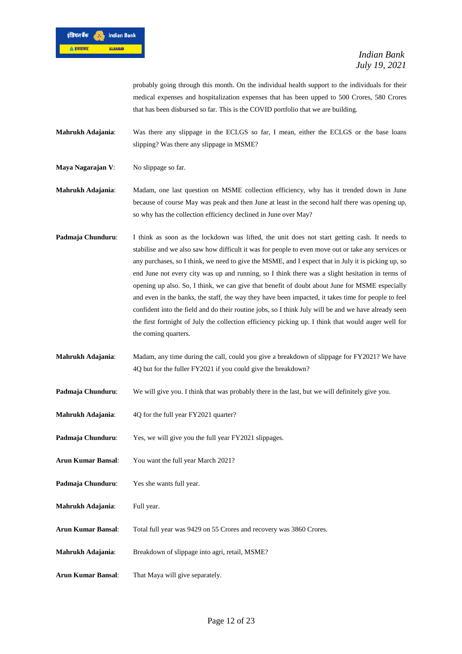

probably going through this month. On the individual health support to the individuals for their medical expenses and hospitalization expenses that has been upped to 500 Crores, 580 Crores that has been disbursed so far. This is the COVID portfolio that we are building.

**Mahrukh Adajania**: Was there any slippage in the ECLGS so far, I mean, either the ECLGS or the base loans slipping? Was there any slippage in MSME?

**Maya Nagarajan V**: No slippage so far.

**Mahrukh Adajania**: Madam, one last question on MSME collection efficiency, why has it trended down in June because of course May was peak and then June at least in the second half there was opening up, so why has the collection efficiency declined in June over May?

- **Padmaja Chunduru:** I think as soon as the lockdown was lifted, the unit does not start getting cash. It needs to stabilise and we also saw how difficult it was for people to even move out or take any services or any purchases, so I think, we need to give the MSME, and I expect that in July it is picking up, so end June not every city was up and running, so I think there was a slight hesitation in terms of opening up also. So, I think, we can give that benefit of doubt about June for MSME especially and even in the banks, the staff, the way they have been impacted, it takes time for people to feel confident into the field and do their routine jobs, so I think July will be and we have already seen the first fortnight of July the collection efficiency picking up. I think that would auger well for the coming quarters.
- **Mahrukh Adajania**: Madam, any time during the call, could you give a breakdown of slippage for FY2021? We have 4Q but for the fuller FY2021 if you could give the breakdown?
- **Padmaja Chunduru:** We will give you. I think that was probably there in the last, but we will definitely give you.
- **Mahrukh Adajania:** 4Q for the full year FY2021 quarter?
- Padmaja Chunduru: Yes, we will give you the full year FY2021 slippages.
- **Arun Kumar Bansal**: You want the full year March 2021?
- **Padmaja Chunduru**: Yes she wants full year.
- **Mahrukh Adajania**: Full year.
- **Arun Kumar Bansal**: Total full year was 9429 on 55 Crores and recovery was 3860 Crores.
- **Mahrukh Adajania**: Breakdown of slippage into agri, retail, MSME?
- **Arun Kumar Bansal**: That Maya will give separately.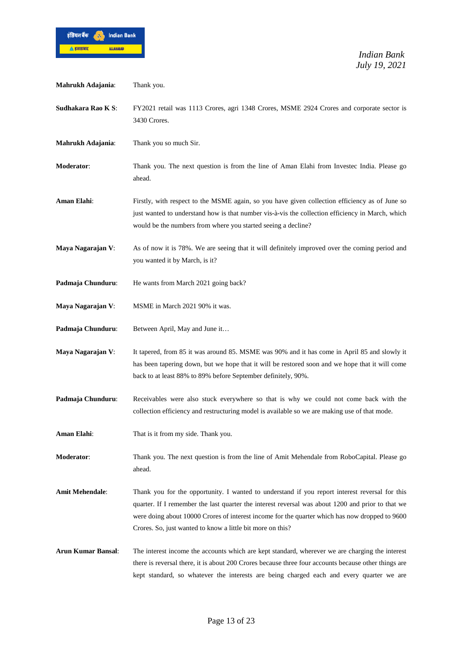

| Mahrukh Adajania:         | Thank you.                                                                                                                                                                                                                                                                                                                                                          |
|---------------------------|---------------------------------------------------------------------------------------------------------------------------------------------------------------------------------------------------------------------------------------------------------------------------------------------------------------------------------------------------------------------|
| Sudhakara Rao K S:        | FY2021 retail was 1113 Crores, agri 1348 Crores, MSME 2924 Crores and corporate sector is<br>3430 Crores.                                                                                                                                                                                                                                                           |
| Mahrukh Adajania:         | Thank you so much Sir.                                                                                                                                                                                                                                                                                                                                              |
| Moderator:                | Thank you. The next question is from the line of Aman Elahi from Invested India. Please go<br>ahead.                                                                                                                                                                                                                                                                |
| Aman Elahi:               | Firstly, with respect to the MSME again, so you have given collection efficiency as of June so<br>just wanted to understand how is that number vis-à-vis the collection efficiency in March, which<br>would be the numbers from where you started seeing a decline?                                                                                                 |
| Maya Nagarajan V:         | As of now it is 78%. We are seeing that it will definitely improved over the coming period and<br>you wanted it by March, is it?                                                                                                                                                                                                                                    |
| Padmaja Chunduru:         | He wants from March 2021 going back?                                                                                                                                                                                                                                                                                                                                |
| Maya Nagarajan V:         | MSME in March 2021 90% it was.                                                                                                                                                                                                                                                                                                                                      |
| Padmaja Chunduru:         | Between April, May and June it                                                                                                                                                                                                                                                                                                                                      |
| Maya Nagarajan V:         | It tapered, from 85 it was around 85. MSME was 90% and it has come in April 85 and slowly it<br>has been tapering down, but we hope that it will be restored soon and we hope that it will come<br>back to at least 88% to 89% before September definitely, 90%.                                                                                                    |
| Padmaja Chunduru:         | Receivables were also stuck everywhere so that is why we could not come back with the<br>collection efficiency and restructuring model is available so we are making use of that mode.                                                                                                                                                                              |
| Aman Elahi:               | That is it from my side. Thank you.                                                                                                                                                                                                                                                                                                                                 |
| Moderator:                | Thank you. The next question is from the line of Amit Mehendale from RoboCapital. Please go<br>ahead.                                                                                                                                                                                                                                                               |
| <b>Amit Mehendale:</b>    | Thank you for the opportunity. I wanted to understand if you report interest reversal for this<br>quarter. If I remember the last quarter the interest reversal was about 1200 and prior to that we<br>were doing about 10000 Crores of interest income for the quarter which has now dropped to 9600<br>Crores. So, just wanted to know a little bit more on this? |
| <b>Arun Kumar Bansal:</b> | The interest income the accounts which are kept standard, wherever we are charging the interest<br>there is reversal there, it is about 200 Crores because three four accounts because other things are<br>kept standard, so whatever the interests are being charged each and every quarter we are                                                                 |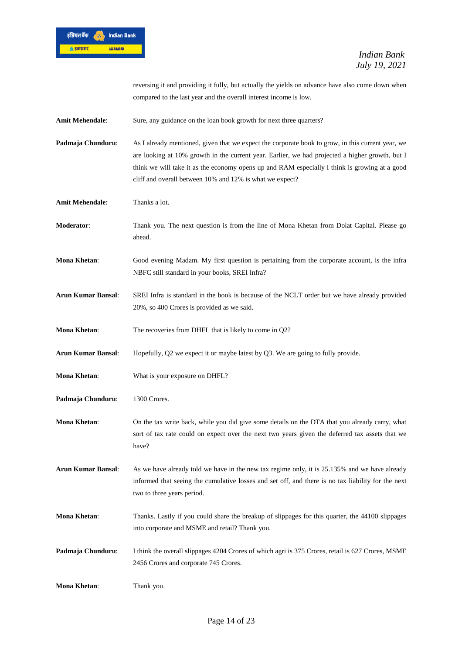

reversing it and providing it fully, but actually the yields on advance have also come down when compared to the last year and the overall interest income is low.

Amit Mehendale: Sure, any guidance on the loan book growth for next three quarters?

**Padmaja Chunduru:** As I already mentioned, given that we expect the corporate book to grow, in this current year, we are looking at 10% growth in the current year. Earlier, we had projected a higher growth, but I think we will take it as the economy opens up and RAM especially I think is growing at a good cliff and overall between 10% and 12% is what we expect?

**Amit Mehendale**: Thanks a lot.

- **Moderator**: Thank you. The next question is from the line of Mona Khetan from Dolat Capital. Please go ahead.
- **Mona Khetan**: Good evening Madam. My first question is pertaining from the corporate account, is the infra NBFC still standard in your books, SREI Infra?
- **Arun Kumar Bansal**: SREI Infra is standard in the book is because of the NCLT order but we have already provided 20%, so 400 Crores is provided as we said.
- **Mona Khetan:** The recoveries from DHFL that is likely to come in Q2?
- **Arun Kumar Bansal**: Hopefully, Q2 we expect it or maybe latest by Q3. We are going to fully provide.
- **Mona Khetan:** What is your exposure on DHFL?
- Padmaja Chunduru: 1300 Crores.
- **Mona Khetan**: On the tax write back, while you did give some details on the DTA that you already carry, what sort of tax rate could on expect over the next two years given the deferred tax assets that we have?

**Arun Kumar Bansal**: As we have already told we have in the new tax regime only, it is 25.135% and we have already informed that seeing the cumulative losses and set off, and there is no tax liability for the next two to three years period.

- **Mona Khetan**: Thanks. Lastly if you could share the breakup of slippages for this quarter, the 44100 slippages into corporate and MSME and retail? Thank you.
- **Padmaja Chunduru:** I think the overall slippages 4204 Crores of which agri is 375 Crores, retail is 627 Crores, MSME 2456 Crores and corporate 745 Crores.

**Mona Khetan**: Thank you.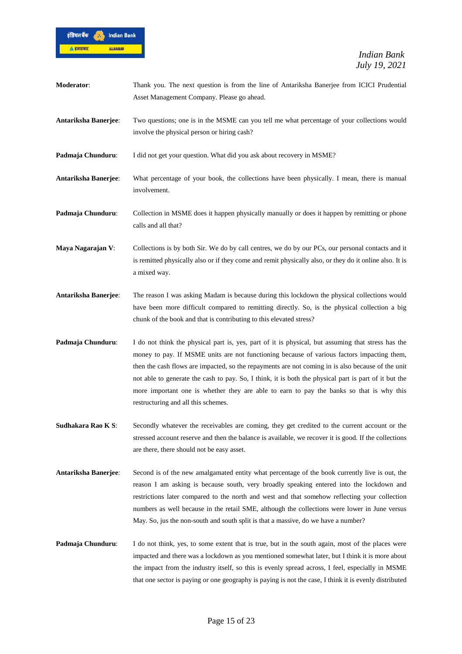

| Moderator:           | Thank you. The next question is from the line of Antariksha Banerjee from ICICI Prudential<br>Asset Management Company. Please go ahead.                                                                                                                                                                                                                                                                                                                                                                                                          |
|----------------------|---------------------------------------------------------------------------------------------------------------------------------------------------------------------------------------------------------------------------------------------------------------------------------------------------------------------------------------------------------------------------------------------------------------------------------------------------------------------------------------------------------------------------------------------------|
| Antariksha Banerjee: | Two questions; one is in the MSME can you tell me what percentage of your collections would<br>involve the physical person or hiring cash?                                                                                                                                                                                                                                                                                                                                                                                                        |
| Padmaja Chunduru:    | I did not get your question. What did you ask about recovery in MSME?                                                                                                                                                                                                                                                                                                                                                                                                                                                                             |
| Antariksha Banerjee: | What percentage of your book, the collections have been physically. I mean, there is manual<br>involvement.                                                                                                                                                                                                                                                                                                                                                                                                                                       |
| Padmaja Chunduru:    | Collection in MSME does it happen physically manually or does it happen by remitting or phone<br>calls and all that?                                                                                                                                                                                                                                                                                                                                                                                                                              |
| Maya Nagarajan V:    | Collections is by both Sir. We do by call centres, we do by our PCs, our personal contacts and it<br>is remitted physically also or if they come and remit physically also, or they do it online also. It is<br>a mixed way.                                                                                                                                                                                                                                                                                                                      |
| Antariksha Banerjee: | The reason I was asking Madam is because during this lockdown the physical collections would<br>have been more difficult compared to remitting directly. So, is the physical collection a big<br>chunk of the book and that is contributing to this elevated stress?                                                                                                                                                                                                                                                                              |
| Padmaja Chunduru:    | I do not think the physical part is, yes, part of it is physical, but assuming that stress has the<br>money to pay. If MSME units are not functioning because of various factors impacting them,<br>then the cash flows are impacted, so the repayments are not coming in is also because of the unit<br>not able to generate the cash to pay. So, I think, it is both the physical part is part of it but the<br>more important one is whether they are able to earn to pay the banks so that is why this<br>restructuring and all this schemes. |
| Sudhakara Rao K S:   | Secondly whatever the receivables are coming, they get credited to the current account or the<br>stressed account reserve and then the balance is available, we recover it is good. If the collections<br>are there, there should not be easy asset.                                                                                                                                                                                                                                                                                              |
| Antariksha Banerjee: | Second is of the new amalgamated entity what percentage of the book currently live is out, the<br>reason I am asking is because south, very broadly speaking entered into the lockdown and<br>restrictions later compared to the north and west and that somehow reflecting your collection<br>numbers as well because in the retail SME, although the collections were lower in June versus<br>May. So, jus the non-south and south split is that a massive, do we have a number?                                                                |
| Padmaja Chunduru:    | I do not think, yes, to some extent that is true, but in the south again, most of the places were<br>impacted and there was a lockdown as you mentioned somewhat later, but I think it is more about<br>the impact from the industry itself, so this is evenly spread across, I feel, especially in MSME                                                                                                                                                                                                                                          |

that one sector is paying or one geography is paying is not the case, I think it is evenly distributed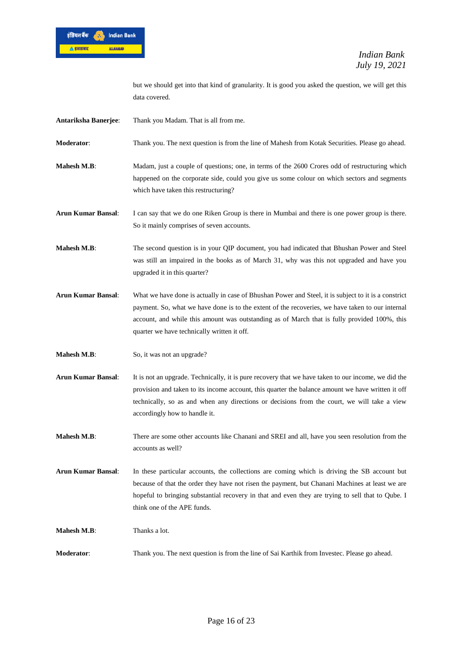

but we should get into that kind of granularity. It is good you asked the question, we will get this data covered.

**Antariksha Banerjee**: Thank you Madam. That is all from me.

**Moderator**: Thank you. The next question is from the line of Mahesh from Kotak Securities. Please go ahead.

**Mahesh M.B:** Madam, just a couple of questions; one, in terms of the 2600 Crores odd of restructuring which happened on the corporate side, could you give us some colour on which sectors and segments which have taken this restructuring?

**Arun Kumar Bansal**: I can say that we do one Riken Group is there in Mumbai and there is one power group is there. So it mainly comprises of seven accounts.

**Mahesh M.B:** The second question is in your QIP document, you had indicated that Bhushan Power and Steel was still an impaired in the books as of March 31, why was this not upgraded and have you upgraded it in this quarter?

**Arun Kumar Bansal**: What we have done is actually in case of Bhushan Power and Steel, it is subject to it is a constrict payment. So, what we have done is to the extent of the recoveries, we have taken to our internal account, and while this amount was outstanding as of March that is fully provided 100%, this quarter we have technically written it off.

**Mahesh M.B:** So, it was not an upgrade?

- **Arun Kumar Bansal**: It is not an upgrade. Technically, it is pure recovery that we have taken to our income, we did the provision and taken to its income account, this quarter the balance amount we have written it off technically, so as and when any directions or decisions from the court, we will take a view accordingly how to handle it.
- **Mahesh M.B:** There are some other accounts like Chanani and SREI and all, have you seen resolution from the accounts as well?
- **Arun Kumar Bansal**: In these particular accounts, the collections are coming which is driving the SB account but because of that the order they have not risen the payment, but Chanani Machines at least we are hopeful to bringing substantial recovery in that and even they are trying to sell that to Qube. I think one of the APE funds.

**Mahesh M.B:** Thanks a lot.

**Moderator**: Thank you. The next question is from the line of Sai Karthik from Investec. Please go ahead.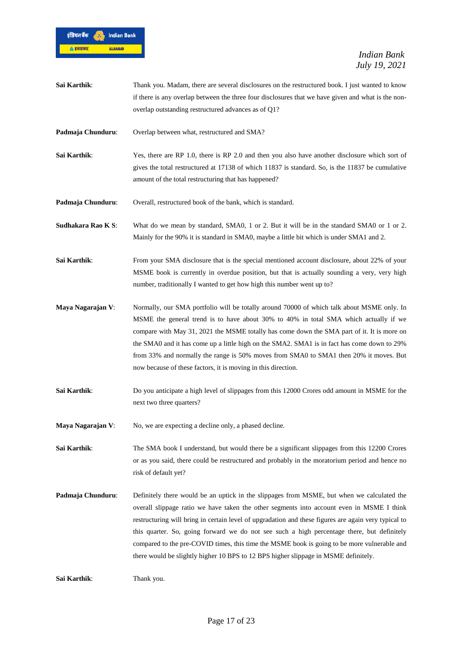

- **Sai Karthik:** Thank you. Madam, there are several disclosures on the restructured book. I just wanted to know if there is any overlap between the three four disclosures that we have given and what is the nonoverlap outstanding restructured advances as of Q1?
- **Padmaja Chunduru:** Overlap between what, restructured and SMA?
- **Sai Karthik:** Yes, there are RP 1.0, there is RP 2.0 and then you also have another disclosure which sort of gives the total restructured at 17138 of which 11837 is standard. So, is the 11837 be cumulative amount of the total restructuring that has happened?
- **Padmaja Chunduru:** Overall, restructured book of the bank, which is standard.
- **Sudhakara Rao K S**: What do we mean by standard, SMA0, 1 or 2. But it will be in the standard SMA0 or 1 or 2. Mainly for the 90% it is standard in SMA0, maybe a little bit which is under SMA1 and 2.
- **Sai Karthik:** From your SMA disclosure that is the special mentioned account disclosure, about 22% of your MSME book is currently in overdue position, but that is actually sounding a very, very high number, traditionally I wanted to get how high this number went up to?
- **Maya Nagarajan V**: Normally, our SMA portfolio will be totally around 70000 of which talk about MSME only. In MSME the general trend is to have about 30% to 40% in total SMA which actually if we compare with May 31, 2021 the MSME totally has come down the SMA part of it. It is more on the SMA0 and it has come up a little high on the SMA2. SMA1 is in fact has come down to 29% from 33% and normally the range is 50% moves from SMA0 to SMA1 then 20% it moves. But now because of these factors, it is moving in this direction.
- **Sai Karthik**: Do you anticipate a high level of slippages from this 12000 Crores odd amount in MSME for the next two three quarters?
- **Maya Nagarajan V:** No, we are expecting a decline only, a phased decline.

**Sai Karthik:** The SMA book I understand, but would there be a significant slippages from this 12200 Crores or as you said, there could be restructured and probably in the moratorium period and hence no risk of default yet?

**Padmaja Chunduru**: Definitely there would be an uptick in the slippages from MSME, but when we calculated the overall slippage ratio we have taken the other segments into account even in MSME I think restructuring will bring in certain level of upgradation and these figures are again very typical to this quarter. So, going forward we do not see such a high percentage there, but definitely compared to the pre-COVID times, this time the MSME book is going to be more vulnerable and there would be slightly higher 10 BPS to 12 BPS higher slippage in MSME definitely.

**Sai Karthik**: Thank you.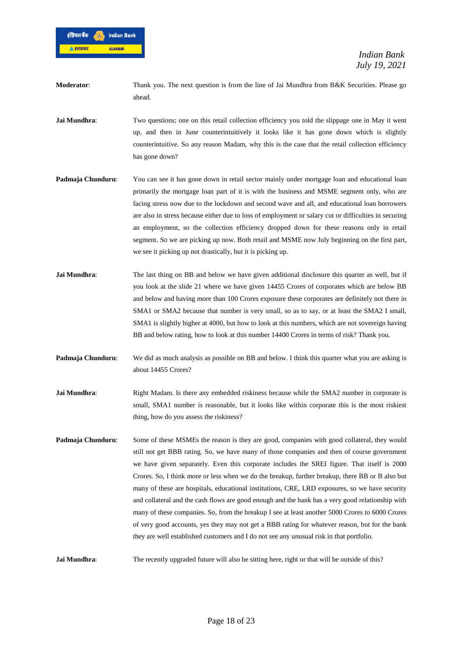

**Moderator:** Thank you. The next question is from the line of Jai Mundhra from B&K Securities. Please go ahead.

**Jai Mundhra**: Two questions; one on this retail collection efficiency you told the slippage one in May it went up, and then in June counterintuitively it looks like it has gone down which is slightly counterintuitive. So any reason Madam, why this is the case that the retail collection efficiency has gone down?

- Padmaja Chunduru: You can see it has gone down in retail sector mainly under mortgage loan and educational loan primarily the mortgage loan part of it is with the business and MSME segment only, who are facing stress now due to the lockdown and second wave and all, and educational loan borrowers are also in stress because either due to loss of employment or salary cut or difficulties in securing an employment, so the collection efficiency dropped down for these reasons only in retail segment. So we are picking up now. Both retail and MSME now July beginning on the first part, we see it picking up not drastically, but it is picking up.
- **Jai Mundhra:** The last thing on BB and below we have given additional disclosure this quarter as well, but if you look at the slide 21 where we have given 14455 Crores of corporates which are below BB and below and having more than 100 Crores exposure these corporates are definitely not there in SMA1 or SMA2 because that number is very small, so as to say, or at least the SMA2 I small, SMA1 is slightly higher at 4000, but how to look at this numbers, which are not sovereign having BB and below rating, how to look at this number 14400 Crores in terms of risk? Thank you.
- **Padmaja Chunduru:** We did as much analysis as possible on BB and below. I think this quarter what you are asking is about 14455 Crores?
- **Jai Mundhra:** Right Madam. Is there any embedded riskiness because while the SMA2 number in corporate is small, SMA1 number is reasonable, but it looks like within corporate this is the most riskiest thing, how do you assess the riskiness?
- **Padmaja Chunduru:** Some of these MSMEs the reason is they are good, companies with good collateral, they would still not get BBB rating. So, we have many of those companies and then of course government we have given separately. Even this corporate includes the SREI figure. That itself is 2000 Crores. So, I think more or less when we do the breakup, further breakup, there BB or B also but many of these are hospitals, educational institutions, CRE, LRD exposures, so we have security and collateral and the cash flows are good enough and the bank has a very good relationship with many of these companies. So, from the breakup I see at least another 5000 Crores to 6000 Crores of very good accounts, yes they may not get a BBB rating for whatever reason, but for the bank they are well established customers and I do not see any unusual risk in that portfolio.

**Jai Mundhra:** The recently upgraded future will also be sitting here, right or that will be outside of this?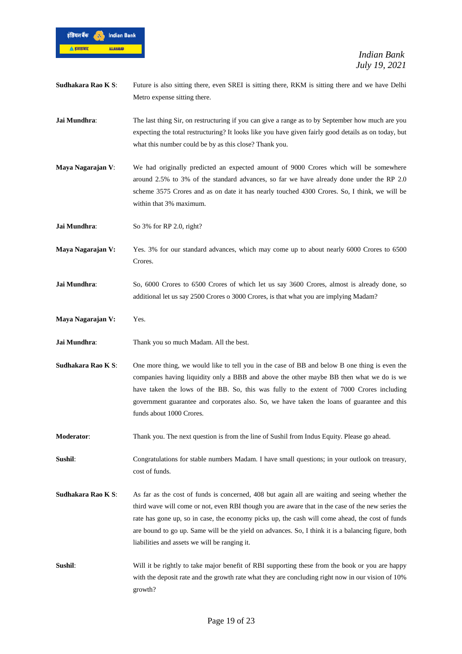

- **Sudhakara Rao K S:** Future is also sitting there, even SREI is sitting there, RKM is sitting there and we have Delhi Metro expense sitting there.
- **Jai Mundhra:** The last thing Sir, on restructuring if you can give a range as to by September how much are you expecting the total restructuring? It looks like you have given fairly good details as on today, but what this number could be by as this close? Thank you.
- **Maya Nagarajan V:** We had originally predicted an expected amount of 9000 Crores which will be somewhere around 2.5% to 3% of the standard advances, so far we have already done under the RP 2.0 scheme 3575 Crores and as on date it has nearly touched 4300 Crores. So, I think, we will be within that 3% maximum.

**Jai Mundhra:** So 3% for RP 2.0, right?

- **Maya Nagarajan V:** Yes. 3% for our standard advances, which may come up to about nearly 6000 Crores to 6500 Crores.
- **Jai Mundhra**: So, 6000 Crores to 6500 Crores of which let us say 3600 Crores, almost is already done, so additional let us say 2500 Crores o 3000 Crores, is that what you are implying Madam?
- **Maya Nagarajan V:** Yes.
- **Jai Mundhra:** Thank you so much Madam. All the best.
- **Sudhakara Rao K S**: One more thing, we would like to tell you in the case of BB and below B one thing is even the companies having liquidity only a BBB and above the other maybe BB then what we do is we have taken the lows of the BB. So, this was fully to the extent of 7000 Crores including government guarantee and corporates also. So, we have taken the loans of guarantee and this funds about 1000 Crores.
- **Moderator**: Thank you. The next question is from the line of Sushil from Indus Equity. Please go ahead.
- **Sushil:** Congratulations for stable numbers Madam. I have small questions; in your outlook on treasury, cost of funds.
- **Sudhakara Rao K S:** As far as the cost of funds is concerned, 408 but again all are waiting and seeing whether the third wave will come or not, even RBI though you are aware that in the case of the new series the rate has gone up, so in case, the economy picks up, the cash will come ahead, the cost of funds are bound to go up. Same will be the yield on advances. So, I think it is a balancing figure, both liabilities and assets we will be ranging it.
- **Sushil**: Will it be rightly to take major benefit of RBI supporting these from the book or you are happy with the deposit rate and the growth rate what they are concluding right now in our vision of 10% growth?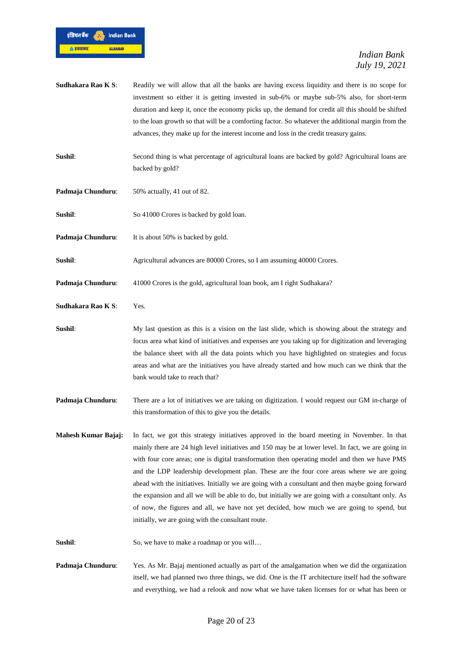

- **Sudhakara Rao K S:** Readily we will allow that all the banks are having excess liquidity and there is no scope for investment so either it is getting invested in sub-6% or maybe sub-5% also, for short-term duration and keep it, once the economy picks up, the demand for credit all this should be shifted to the loan growth so that will be a comforting factor. So whatever the additional margin from the advances, they make up for the interest income and loss in the credit treasury gains.
- **Sushil**: Second thing is what percentage of agricultural loans are backed by gold? Agricultural loans are backed by gold?
- Padmaja Chunduru: 50% actually, 41 out of 82.
- **Sushil:** So 41000 Crores is backed by gold loan.
- Padmaja Chunduru: It is about 50% is backed by gold.
- **Sushil**: Agricultural advances are 80000 Crores, so I am assuming 40000 Crores.
- **Padmaja Chunduru:** 41000 Crores is the gold, agricultural loan book, am I right Sudhakara?
- **Sudhakara Rao K S**: Yes.
- **Sushil**: My last question as this is a vision on the last slide, which is showing about the strategy and focus area what kind of initiatives and expenses are you taking up for digitization and leveraging the balance sheet with all the data points which you have highlighted on strategies and focus areas and what are the initiatives you have already started and how much can we think that the bank would take to reach that?
- **Padmaja Chunduru**: There are a lot of initiatives we are taking on digitization. I would request our GM in-charge of this transformation of this to give you the details.
- **Mahesh Kumar Bajaj:** In fact, we got this strategy initiatives approved in the board meeting in November. In that mainly there are 24 high level initiatives and 150 may be at lower level. In fact, we are going in with four core areas; one is digital transformation then operating model and then we have PMS and the LDP leadership development plan. These are the four core areas where we are going ahead with the initiatives. Initially we are going with a consultant and then maybe going forward the expansion and all we will be able to do, but initially we are going with a consultant only. As of now, the figures and all, we have not yet decided, how much we are going to spend, but initially, we are going with the consultant route.
- **Sushil**: So, we have to make a roadmap or you will…
- **Padmaja Chunduru**: Yes. As Mr. Bajaj mentioned actually as part of the amalgamation when we did the organization itself, we had planned two three things, we did. One is the IT architecture itself had the software and everything, we had a relook and now what we have taken licenses for or what has been or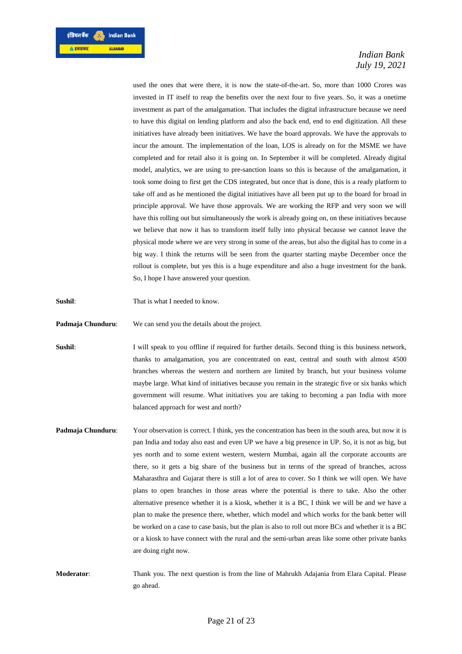

used the ones that were there, it is now the state-of-the-art. So, more than 1000 Crores was invested in IT itself to reap the benefits over the next four to five years. So, it was a onetime investment as part of the amalgamation. That includes the digital infrastructure because we need to have this digital on lending platform and also the back end, end to end digitization. All these initiatives have already been initiatives. We have the board approvals. We have the approvals to incur the amount. The implementation of the loan, LOS is already on for the MSME we have completed and for retail also it is going on. In September it will be completed. Already digital model, analytics, we are using to pre-sanction loans so this is because of the amalgamation, it took some doing to first get the CDS integrated, but once that is done, this is a ready platform to take off and as he mentioned the digital initiatives have all been put up to the board for broad in principle approval. We have those approvals. We are working the RFP and very soon we will have this rolling out but simultaneously the work is already going on, on these initiatives because we believe that now it has to transform itself fully into physical because we cannot leave the physical mode where we are very strong in some of the areas, but also the digital has to come in a big way. I think the returns will be seen from the quarter starting maybe December once the rollout is complete, but yes this is a huge expenditure and also a huge investment for the bank. So, I hope I have answered your question.

**Sushil**: That is what I needed to know.

**Padmaja Chunduru:** We can send you the details about the project.

**Sushil**: I will speak to you offline if required for further details. Second thing is this business network, thanks to amalgamation, you are concentrated on east, central and south with almost 4500 branches whereas the western and northern are limited by branch, but your business volume maybe large. What kind of initiatives because you remain in the strategic five or six banks which government will resume. What initiatives you are taking to becoming a pan India with more balanced approach for west and north?

- **Padmaja Chunduru:** Your observation is correct. I think, yes the concentration has been in the south area, but now it is pan India and today also east and even UP we have a big presence in UP. So, it is not as big, but yes north and to some extent western, western Mumbai, again all the corporate accounts are there, so it gets a big share of the business but in terms of the spread of branches, across Maharasthra and Gujarat there is still a lot of area to cover. So I think we will open. We have plans to open branches in those areas where the potential is there to take. Also the other alternative presence whether it is a kiosk, whether it is a BC, I think we will be and we have a plan to make the presence there, whether, which model and which works for the bank better will be worked on a case to case basis, but the plan is also to roll out more BCs and whether it is a BC or a kiosk to have connect with the rural and the semi-urban areas like some other private banks are doing right now.
- **Moderator**: Thank you. The next question is from the line of Mahrukh Adajania from Elara Capital. Please go ahead.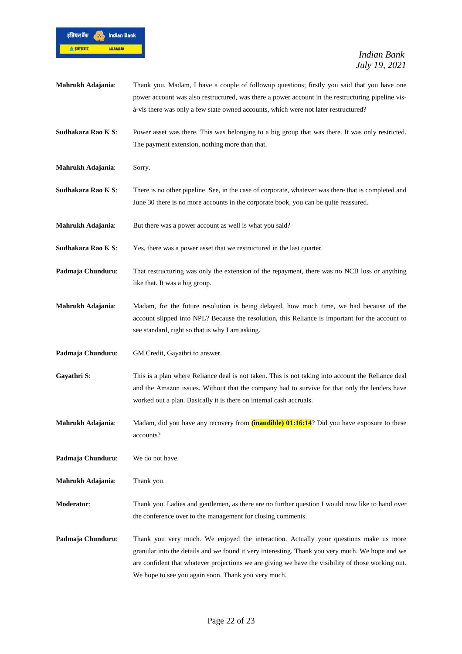

| Mahrukh Adajania:  | Thank you. Madam, I have a couple of followup questions; firstly you said that you have one       |
|--------------------|---------------------------------------------------------------------------------------------------|
|                    | power account was also restructured, was there a power account in the restructuring pipeline vis- |
|                    | à-vis there was only a few state owned accounts, which were not later restructured?               |
|                    |                                                                                                   |
| Sudhakara Rao K S: | Power asset was there. This was belonging to a big group that was there. It was only restricted.  |
|                    | The payment extension, nothing more than that.                                                    |
|                    |                                                                                                   |

**Mahrukh Adajania**: Sorry.

- **Sudhakara Rao K S**: There is no other pipeline. See, in the case of corporate, whatever was there that is completed and June 30 there is no more accounts in the corporate book, you can be quite reassured.
- **Mahrukh Adajania:** But there was a power account as well is what you said?
- **Sudhakara Rao K S**: Yes, there was a power asset that we restructured in the last quarter.
- **Padmaja Chunduru:** That restructuring was only the extension of the repayment, there was no NCB loss or anything like that. It was a big group.
- **Mahrukh Adajania**: Madam, for the future resolution is being delayed, how much time, we had because of the account slipped into NPL? Because the resolution, this Reliance is important for the account to see standard, right so that is why I am asking.
- Padmaja Chunduru: GM Credit, Gayathri to answer.
- Gayathri S: This is a plan where Reliance deal is not taken. This is not taking into account the Reliance deal and the Amazon issues. Without that the company had to survive for that only the lenders have worked out a plan. Basically it is there on internal cash accruals.
- **Mahrukh Adajania**: Madam, did you have any recovery from **(inaudible) 01:16:14**? Did you have exposure to these accounts?
- **Padmaja Chunduru**: We do not have.

**Mahrukh Adajania**: Thank you.

- **Moderator**: Thank you. Ladies and gentlemen, as there are no further question I would now like to hand over the conference over to the management for closing comments.
- **Padmaja Chunduru**: Thank you very much. We enjoyed the interaction. Actually your questions make us more granular into the details and we found it very interesting. Thank you very much. We hope and we are confident that whatever projections we are giving we have the visibility of those working out. We hope to see you again soon. Thank you very much.